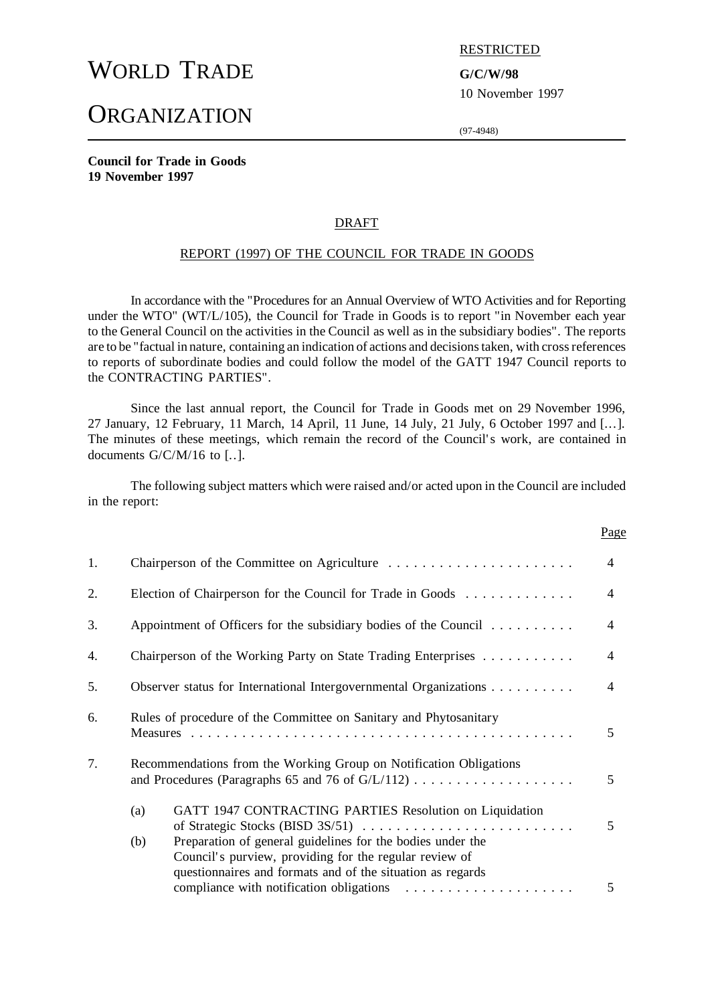# WORLD TRADE **G/C/W/98**

## **ORGANIZATION**

RESTRICTED

10 November 1997

(97-4948)

**Council for Trade in Goods 19 November 1997**

#### DRAFT

#### REPORT (1997) OF THE COUNCIL FOR TRADE IN GOODS

In accordance with the "Procedures for an Annual Overview of WTO Activities and for Reporting under the WTO" (WT/L/105), the Council for Trade in Goods is to report "in November each year to the General Council on the activities in the Council as well as in the subsidiary bodies". The reports are to be "factual in nature, containing an indication of actions and decisions taken, with cross references to reports of subordinate bodies and could follow the model of the GATT 1947 Council reports to the CONTRACTING PARTIES".

Since the last annual report, the Council for Trade in Goods met on 29 November 1996, 27 January, 12 February, 11 March, 14 April, 11 June, 14 July, 21 July, 6 October 1997 and [...]. The minutes of these meetings, which remain the record of the Council's work, are contained in documents G/C/M/16 to [..].

The following subject matters which were raised and/or acted upon in the Council are included in the report:

|    |                                                                                                                                                                                           | Page           |  |
|----|-------------------------------------------------------------------------------------------------------------------------------------------------------------------------------------------|----------------|--|
| 1. |                                                                                                                                                                                           | $\overline{4}$ |  |
| 2. | Election of Chairperson for the Council for Trade in Goods                                                                                                                                |                |  |
| 3. | Appointment of Officers for the subsidiary bodies of the Council $\dots \dots \dots$                                                                                                      | $\overline{4}$ |  |
| 4. | Chairperson of the Working Party on State Trading Enterprises                                                                                                                             | $\overline{4}$ |  |
| 5. | Observer status for International Intergovernmental Organizations                                                                                                                         |                |  |
| 6. | Rules of procedure of the Committee on Sanitary and Phytosanitary                                                                                                                         |                |  |
| 7. | Recommendations from the Working Group on Notification Obligations                                                                                                                        | 5              |  |
|    | GATT 1947 CONTRACTING PARTIES Resolution on Liquidation<br>(a)<br>of Strategic Stocks (BISD 3S/51)                                                                                        | 5              |  |
|    | Preparation of general guidelines for the bodies under the<br>(b)<br>Council's purview, providing for the regular review of<br>questionnaires and formats and of the situation as regards | 5              |  |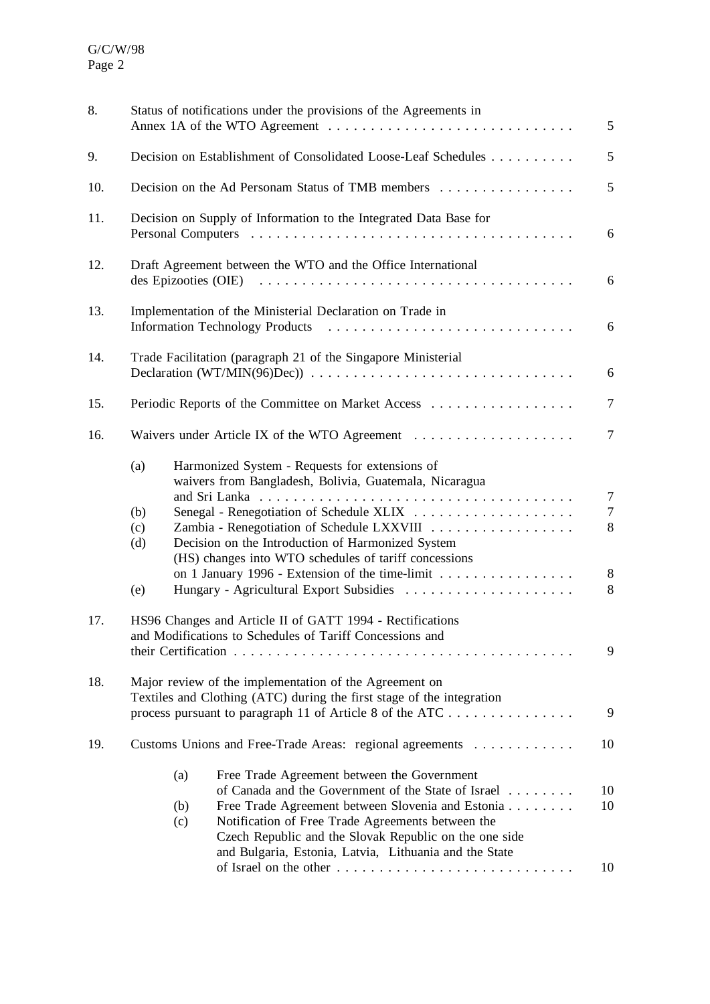| 8.  | Status of notifications under the provisions of the Agreements in<br>5                                                                                                                                                                                                                                                                                |                                           |  |  |  |
|-----|-------------------------------------------------------------------------------------------------------------------------------------------------------------------------------------------------------------------------------------------------------------------------------------------------------------------------------------------------------|-------------------------------------------|--|--|--|
| 9.  | Decision on Establishment of Consolidated Loose-Leaf Schedules                                                                                                                                                                                                                                                                                        |                                           |  |  |  |
| 10. | Decision on the Ad Personam Status of TMB members                                                                                                                                                                                                                                                                                                     |                                           |  |  |  |
| 11. | Decision on Supply of Information to the Integrated Data Base for                                                                                                                                                                                                                                                                                     |                                           |  |  |  |
| 12. | Draft Agreement between the WTO and the Office International                                                                                                                                                                                                                                                                                          |                                           |  |  |  |
| 13. | Implementation of the Ministerial Declaration on Trade in<br>6                                                                                                                                                                                                                                                                                        |                                           |  |  |  |
| 14. | Trade Facilitation (paragraph 21 of the Singapore Ministerial                                                                                                                                                                                                                                                                                         | 6                                         |  |  |  |
| 15. | Periodic Reports of the Committee on Market Access                                                                                                                                                                                                                                                                                                    | $\overline{7}$                            |  |  |  |
| 16. | Waivers under Article IX of the WTO Agreement                                                                                                                                                                                                                                                                                                         | $\overline{7}$                            |  |  |  |
|     | Harmonized System - Requests for extensions of<br>(a)<br>waivers from Bangladesh, Bolivia, Guatemala, Nicaragua<br>(b)<br>Zambia - Renegotiation of Schedule LXXVIII<br>(c)<br>Decision on the Introduction of Harmonized System<br>(d)<br>(HS) changes into WTO schedules of tariff concessions                                                      | $\overline{7}$<br>$\overline{7}$<br>$8\,$ |  |  |  |
|     | on 1 January 1996 - Extension of the time-limit<br>Hungary - Agricultural Export Subsidies<br>(e)                                                                                                                                                                                                                                                     | $8\phantom{1}$<br>8                       |  |  |  |
| 17. | HS96 Changes and Article II of GATT 1994 - Rectifications<br>and Modifications to Schedules of Tariff Concessions and                                                                                                                                                                                                                                 | 9                                         |  |  |  |
| 18. | Major review of the implementation of the Agreement on<br>Textiles and Clothing (ATC) during the first stage of the integration<br>process pursuant to paragraph 11 of Article 8 of the ATC                                                                                                                                                           | 9                                         |  |  |  |
| 19. | Customs Unions and Free-Trade Areas: regional agreements                                                                                                                                                                                                                                                                                              | 10                                        |  |  |  |
|     | Free Trade Agreement between the Government<br>(a)<br>of Canada and the Government of the State of Israel<br>Free Trade Agreement between Slovenia and Estonia<br>(b)<br>(c)<br>Notification of Free Trade Agreements between the<br>Czech Republic and the Slovak Republic on the one side<br>and Bulgaria, Estonia, Latvia, Lithuania and the State | 10<br>10<br>10                            |  |  |  |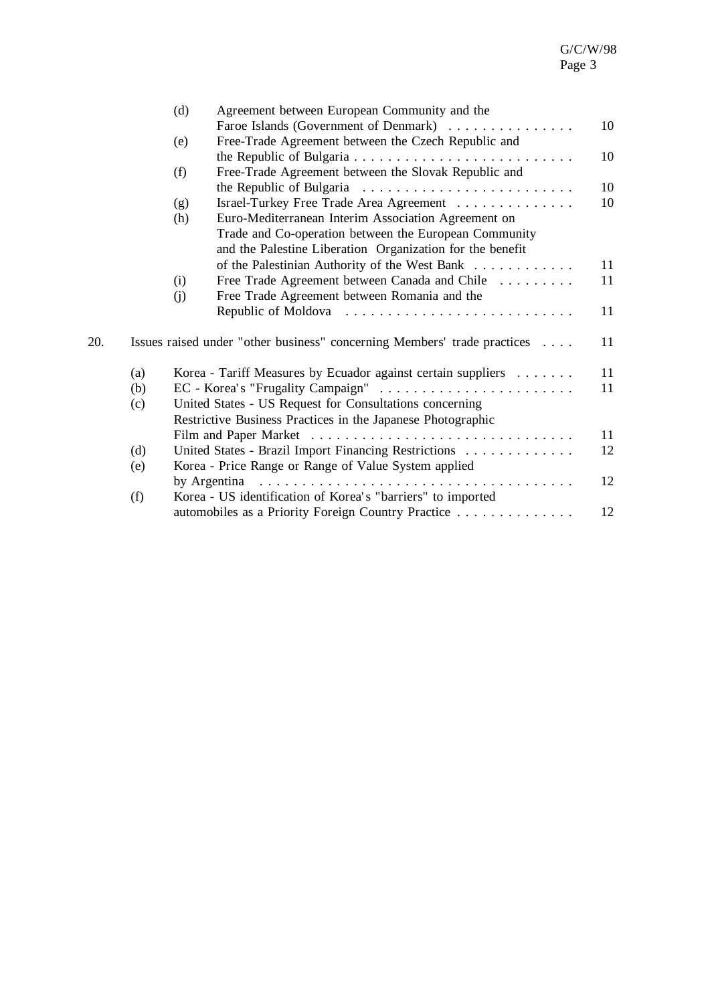|     |     | (d)<br>Agreement between European Community and the                                                |    |
|-----|-----|----------------------------------------------------------------------------------------------------|----|
|     |     | Faroe Islands (Government of Denmark)                                                              | 10 |
|     |     | Free-Trade Agreement between the Czech Republic and<br>(e)                                         |    |
|     |     |                                                                                                    | 10 |
|     |     | Free-Trade Agreement between the Slovak Republic and<br>(f)                                        |    |
|     |     |                                                                                                    | 10 |
|     |     | Israel-Turkey Free Trade Area Agreement<br>(g)                                                     | 10 |
|     |     | Euro-Mediterranean Interim Association Agreement on<br>(h)                                         |    |
|     |     | Trade and Co-operation between the European Community                                              |    |
|     |     | and the Palestine Liberation Organization for the benefit                                          |    |
|     |     | of the Palestinian Authority of the West Bank                                                      | 11 |
|     |     | Free Trade Agreement between Canada and Chile<br>(i)                                               | 11 |
|     |     | Free Trade Agreement between Romania and the<br>(i)                                                |    |
|     |     |                                                                                                    | 11 |
| 20. |     | Issues raised under "other business" concerning Members' trade practices                           | 11 |
|     | (a) | Korea - Tariff Measures by Ecuador against certain suppliers                                       | 11 |
|     | (b) |                                                                                                    | 11 |
|     | (c) | United States - US Request for Consultations concerning                                            |    |
|     |     | Restrictive Business Practices in the Japanese Photographic                                        |    |
|     |     |                                                                                                    | 11 |
|     | (d) | United States - Brazil Import Financing Restrictions                                               | 12 |
|     | (e) | Korea - Price Range or Range of Value System applied                                               |    |
|     |     | by Argentina $\ldots \ldots \ldots \ldots \ldots \ldots \ldots \ldots \ldots \ldots \ldots \ldots$ | 12 |
|     | (f) | Korea - US identification of Korea's "barriers" to imported                                        |    |
|     |     | automobiles as a Priority Foreign Country Practice                                                 | 12 |
|     |     |                                                                                                    |    |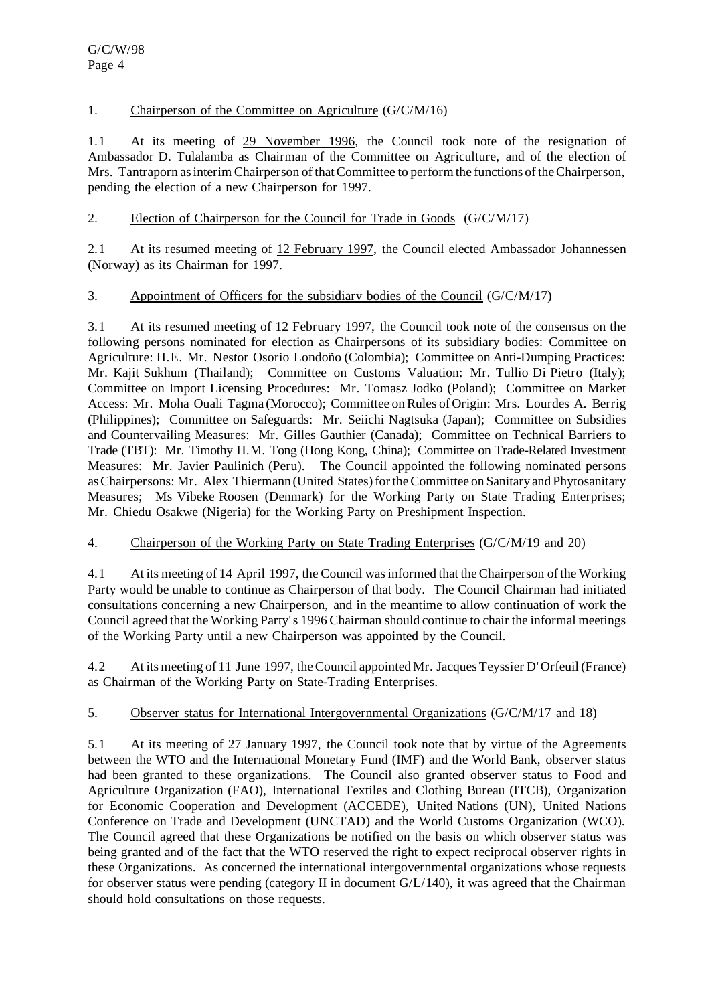## 1. Chairperson of the Committee on Agriculture (G/C/M/16)

1.1 At its meeting of 29 November 1996, the Council took note of the resignation of Ambassador D. Tulalamba as Chairman of the Committee on Agriculture, and of the election of Mrs. Tantraporn as interim Chairperson of that Committee to perform the functions of the Chairperson, pending the election of a new Chairperson for 1997.

## 2. Election of Chairperson for the Council for Trade in Goods  $(G/C/M/17)$

2.1 At its resumed meeting of 12 February 1997, the Council elected Ambassador Johannessen (Norway) as its Chairman for 1997.

#### 3. Appointment of Officers for the subsidiary bodies of the Council (G/C/M/17)

3.1 At its resumed meeting of 12 February 1997, the Council took note of the consensus on the following persons nominated for election as Chairpersons of its subsidiary bodies: Committee on Agriculture: H.E. Mr. Nestor Osorio Londoño (Colombia); Committee on Anti-Dumping Practices: Mr. Kajit Sukhum (Thailand); Committee on Customs Valuation: Mr. Tullio Di Pietro (Italy); Committee on Import Licensing Procedures: Mr. Tomasz Jodko (Poland); Committee on Market Access: Mr. Moha Ouali Tagma (Morocco); Committee on Rules of Origin: Mrs. Lourdes A. Berrig (Philippines); Committee on Safeguards: Mr. Seiichi Nagtsuka (Japan); Committee on Subsidies and Countervailing Measures: Mr. Gilles Gauthier (Canada); Committee on Technical Barriers to Trade (TBT): Mr. Timothy H.M. Tong (Hong Kong, China); Committee on Trade-Related Investment Measures: Mr. Javier Paulinich (Peru). The Council appointed the following nominated persons as Chairpersons: Mr. Alex Thiermann (United States) for the Committee on Sanitary and Phytosanitary Measures; Ms Vibeke Roosen (Denmark) for the Working Party on State Trading Enterprises; Mr. Chiedu Osakwe (Nigeria) for the Working Party on Preshipment Inspection.

#### 4. Chairperson of the Working Party on State Trading Enterprises (G/C/M/19 and 20)

4.1 At its meeting of 14 April 1997, the Council wasinformed that the Chairperson of the Working Party would be unable to continue as Chairperson of that body. The Council Chairman had initiated consultations concerning a new Chairperson, and in the meantime to allow continuation of work the Council agreed that the Working Party's 1996 Chairman should continue to chair the informal meetings of the Working Party until a new Chairperson was appointed by the Council.

4.2 At itsmeeting of 11 June 1997, theCouncil appointed Mr.JacquesTeyssier D'Orfeuil(France) as Chairman of the Working Party on State-Trading Enterprises.

#### 5. Observer status for International Intergovernmental Organizations (G/C/M/17 and 18)

5.1 At its meeting of 27 January 1997, the Council took note that by virtue of the Agreements between the WTO and the International Monetary Fund (IMF) and the World Bank, observer status had been granted to these organizations. The Council also granted observer status to Food and Agriculture Organization (FAO), International Textiles and Clothing Bureau (ITCB), Organization for Economic Cooperation and Development (ACCEDE), United Nations (UN), United Nations Conference on Trade and Development (UNCTAD) and the World Customs Organization (WCO). The Council agreed that these Organizations be notified on the basis on which observer status was being granted and of the fact that the WTO reserved the right to expect reciprocal observer rights in these Organizations. As concerned the international intergovernmental organizations whose requests for observer status were pending (category II in document  $G/L/140$ ), it was agreed that the Chairman should hold consultations on those requests.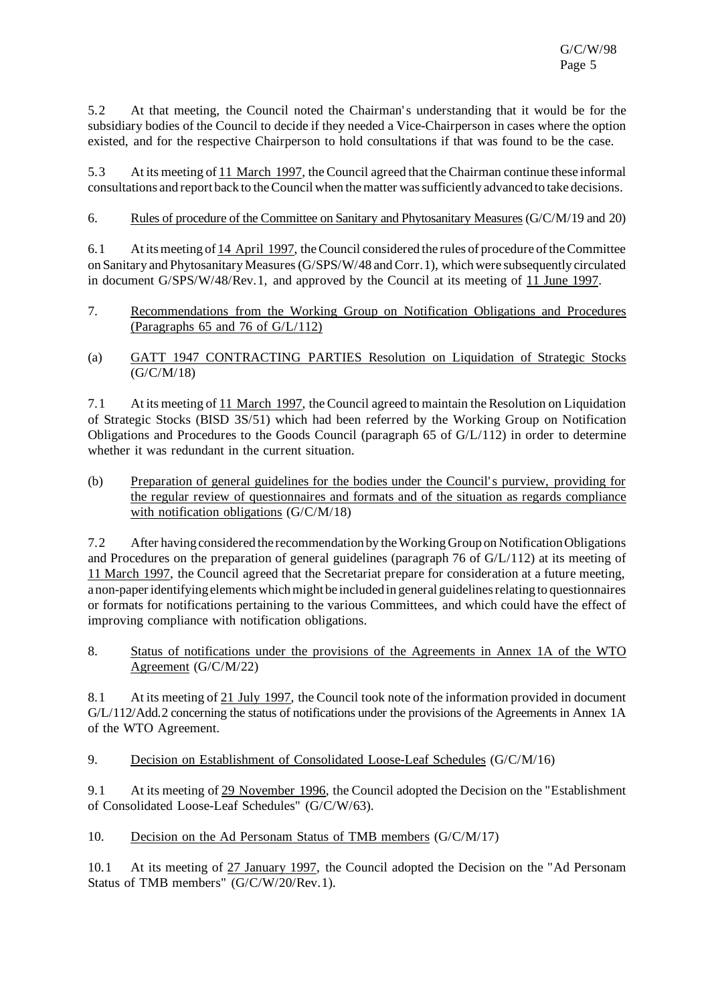5.2 At that meeting, the Council noted the Chairman's understanding that it would be for the subsidiary bodies of the Council to decide if they needed a Vice-Chairperson in cases where the option existed, and for the respective Chairperson to hold consultations if that was found to be the case.

5.3 At its meeting of 11 March 1997, the Council agreed that the Chairman continue these informal consultations and report back to theCouncil when thematter wassufficiently advanced to take decisions.

#### 6. Rules of procedure of the Committee on Sanitary and Phytosanitary Measures(G/C/M/19 and 20)

6.1 At its meeting of 14 April 1997, the Council considered the rules of procedure of the Committee on Sanitary and Phytosanitary Measures (G/SPS/W/48 and Corr.1), which were subsequently circulated in document G/SPS/W/48/Rev.1, and approved by the Council at its meeting of 11 June 1997.

- 7. Recommendations from the Working Group on Notification Obligations and Procedures (Paragraphs 65 and 76 of G/L/112)
- (a) GATT 1947 CONTRACTING PARTIES Resolution on Liquidation of Strategic Stocks (G/C/M/18)

7.1 At its meeting of 11 March 1997, the Council agreed to maintain the Resolution on Liquidation of Strategic Stocks (BISD 3S/51) which had been referred by the Working Group on Notification Obligations and Procedures to the Goods Council (paragraph 65 of G/L/112) in order to determine whether it was redundant in the current situation.

(b) Preparation of general guidelines for the bodies under the Council's purview, providing for the regular review of questionnaires and formats and of the situation as regards compliance with notification obligations (G/C/M/18)

7.2 After having considered the recommendation by theWorking Group on NotificationObligations and Procedures on the preparation of general guidelines (paragraph 76 of G/L/112) at its meeting of 11 March 1997, the Council agreed that the Secretariat prepare for consideration at a future meeting, a non-paper identifying elements which might be included in general guidelines relating to questionnaires or formats for notifications pertaining to the various Committees, and which could have the effect of improving compliance with notification obligations.

8. Status of notifications under the provisions of the Agreements in Annex 1A of the WTO Agreement (G/C/M/22)

8.1 At its meeting of 21 July 1997, the Council took note of the information provided in document G/L/112/Add.2 concerning the status of notifications under the provisions of the Agreements in Annex 1A of the WTO Agreement.

9. Decision on Establishment of Consolidated Loose-Leaf Schedules (G/C/M/16)

9.1 At its meeting of 29 November 1996, the Council adopted the Decision on the "Establishment of Consolidated Loose-Leaf Schedules" (G/C/W/63).

10. Decision on the Ad Personam Status of TMB members (G/C/M/17)

10.1 At its meeting of 27 January 1997, the Council adopted the Decision on the "Ad Personam Status of TMB members" (G/C/W/20/Rev.1).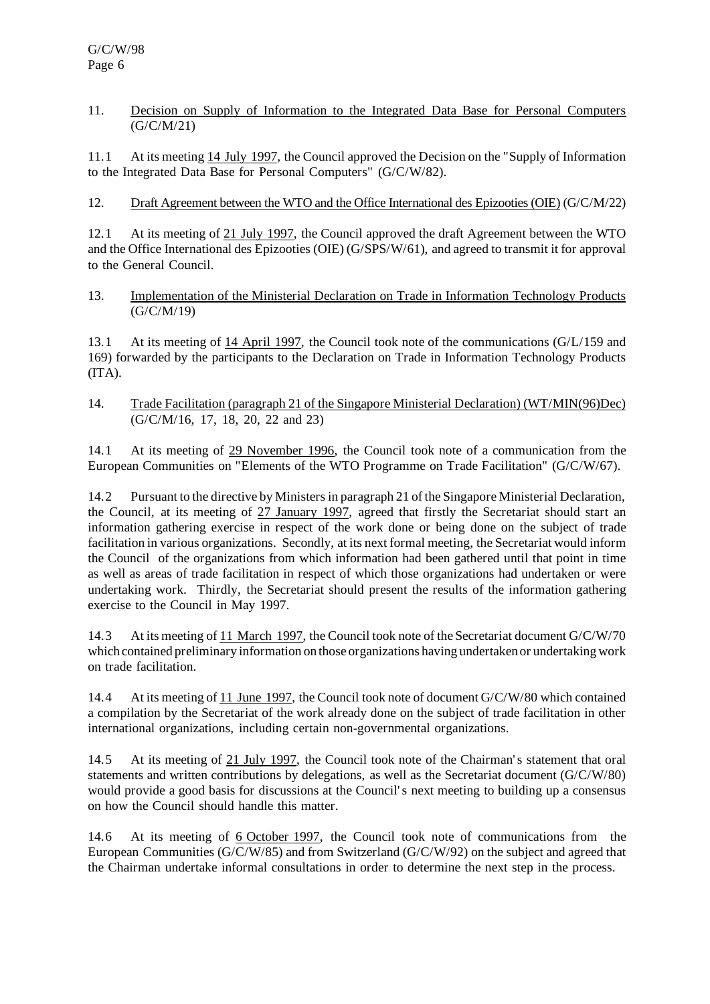#### 11. Decision on Supply of Information to the Integrated Data Base for Personal Computers (G/C/M/21)

11.1 At its meeting 14 July 1997, the Council approved the Decision on the "Supply of Information to the Integrated Data Base for Personal Computers" (G/C/W/82).

12. Draft Agreement between the WTO and the Office International des Epizooties(OIE) (G/C/M/22)

12.1 At its meeting of 21 July 1997, the Council approved the draft Agreement between the WTO and the Office International des Epizooties (OIE) (G/SPS/W/61), and agreed to transmit it for approval to the General Council.

13. Implementation of the Ministerial Declaration on Trade in Information Technology Products (G/C/M/19)

13.1 At its meeting of 14 April 1997, the Council took note of the communications (G/L/159 and 169) forwarded by the participants to the Declaration on Trade in Information Technology Products (ITA).

14. Trade Facilitation (paragraph 21 of the Singapore Ministerial Declaration) (WT/MIN(96)Dec) (G/C/M/16, 17, 18, 20, 22 and 23)

14.1 At its meeting of 29 November 1996, the Council took note of a communication from the European Communities on "Elements of the WTO Programme on Trade Facilitation" (G/C/W/67).

14.2 Pursuant to the directive by Ministersin paragraph 21 of the Singapore Ministerial Declaration, the Council, at its meeting of 27 January 1997, agreed that firstly the Secretariat should start an information gathering exercise in respect of the work done or being done on the subject of trade facilitation in various organizations. Secondly, at its next formal meeting, the Secretariat would inform the Council of the organizations from which information had been gathered until that point in time as well as areas of trade facilitation in respect of which those organizations had undertaken or were undertaking work. Thirdly, the Secretariat should present the results of the information gathering exercise to the Council in May 1997.

14.3 At its meeting of 11 March 1997, the Council took note of the Secretariat document G/C/W/70 which contained preliminary information on those organizations having undertaken or undertaking work on trade facilitation.

14.4 At its meeting of 11 June 1997, the Council took note of document G/C/W/80 which contained a compilation by the Secretariat of the work already done on the subject of trade facilitation in other international organizations, including certain non-governmental organizations.

14.5 At its meeting of 21 July 1997, the Council took note of the Chairman's statement that oral statements and written contributions by delegations, as well as the Secretariat document (G/C/W/80) would provide a good basis for discussions at the Council's next meeting to building up a consensus on how the Council should handle this matter.

14.6 At its meeting of 6 October 1997, the Council took note of communications from the European Communities (G/C/W/85) and from Switzerland (G/C/W/92) on the subject and agreed that the Chairman undertake informal consultations in order to determine the next step in the process.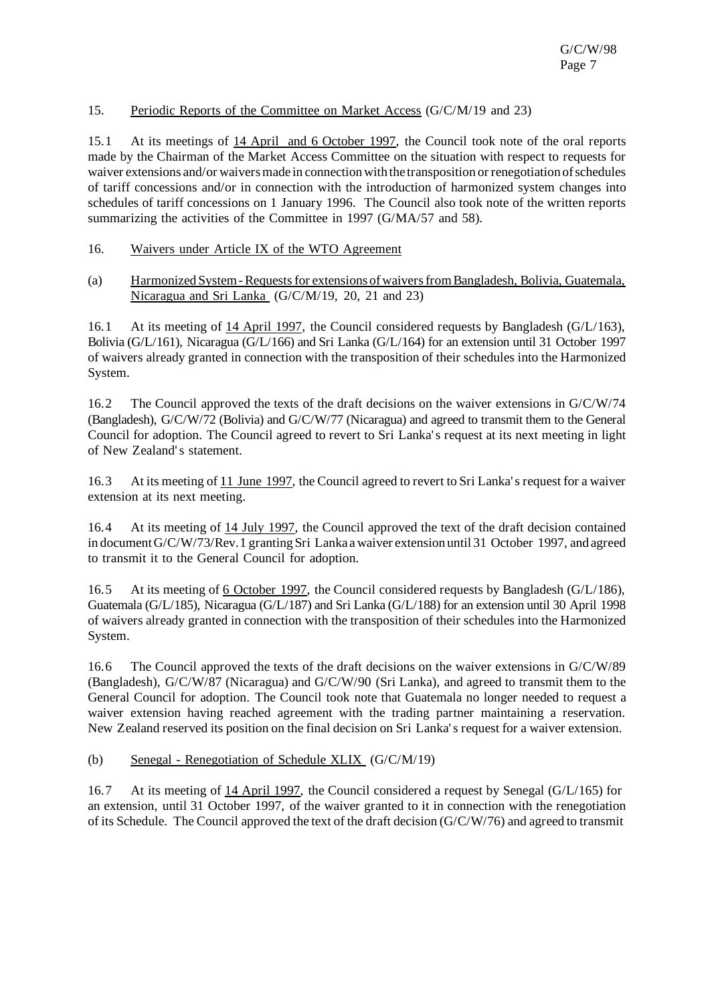#### 15. Periodic Reports of the Committee on Market Access (G/C/M/19 and 23)

15.1 At its meetings of 14 April and 6 October 1997, the Council took note of the oral reports made by the Chairman of the Market Access Committee on the situation with respect to requests for waiver extensions and/or waivers made in connection with the transposition or renegotiation of schedules of tariff concessions and/or in connection with the introduction of harmonized system changes into schedules of tariff concessions on 1 January 1996. The Council also took note of the written reports summarizing the activities of the Committee in 1997 (G/MA/57 and 58).

#### 16. Waivers under Article IX of the WTO Agreement

(a) Harmonized System - Requests for extensions of waivers from Bangladesh, Bolivia, Guatemala, Nicaragua and Sri Lanka (G/C/M/19, 20, 21 and 23)

16.1 At its meeting of 14 April 1997, the Council considered requests by Bangladesh (G/L/163), Bolivia (G/L/161), Nicaragua (G/L/166) and Sri Lanka (G/L/164) for an extension until 31 October 1997 of waivers already granted in connection with the transposition of their schedules into the Harmonized System.

16.2 The Council approved the texts of the draft decisions on the waiver extensions in G/C/W/74 (Bangladesh), G/C/W/72 (Bolivia) and G/C/W/77 (Nicaragua) and agreed to transmit them to the General Council for adoption. The Council agreed to revert to Sri Lanka's request at its next meeting in light of New Zealand's statement.

16.3 At its meeting of 11 June 1997, the Council agreed to revert to Sri Lanka's request for a waiver extension at its next meeting.

16.4 At its meeting of 14 July 1997, the Council approved the text of the draft decision contained in document G/C/W/73/Rev. 1 granting Sri Lanka a waiver extension until 31 October 1997, and agreed to transmit it to the General Council for adoption.

16.5 At its meeting of 6 October 1997, the Council considered requests by Bangladesh (G/L/186), Guatemala (G/L/185), Nicaragua (G/L/187) and Sri Lanka (G/L/188) for an extension until 30 April 1998 of waivers already granted in connection with the transposition of their schedules into the Harmonized System.

16.6 The Council approved the texts of the draft decisions on the waiver extensions in G/C/W/89 (Bangladesh), G/C/W/87 (Nicaragua) and G/C/W/90 (Sri Lanka), and agreed to transmit them to the General Council for adoption. The Council took note that Guatemala no longer needed to request a waiver extension having reached agreement with the trading partner maintaining a reservation. New Zealand reserved its position on the final decision on Sri Lanka's request for a waiver extension.

#### (b) Senegal - Renegotiation of Schedule XLIX (G/C/M/19)

16.7 At its meeting of 14 April 1997, the Council considered a request by Senegal (G/L/165) for an extension, until 31 October 1997, of the waiver granted to it in connection with the renegotiation of its Schedule. The Council approved the text of the draft decision (G/C/W/76) and agreed to transmit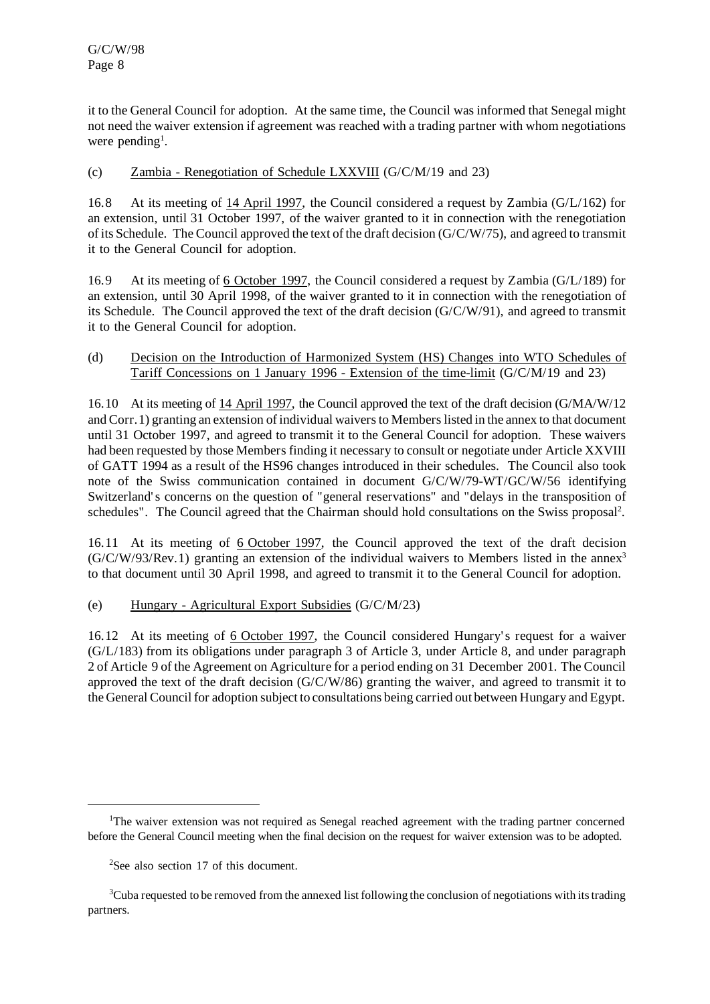it to the General Council for adoption. At the same time, the Council was informed that Senegal might not need the waiver extension if agreement was reached with a trading partner with whom negotiations were pending<sup>1</sup>.

#### (c) Zambia - Renegotiation of Schedule LXXVIII (G/C/M/19 and 23)

16.8 At its meeting of 14 April 1997, the Council considered a request by Zambia (G/L/162) for an extension, until 31 October 1997, of the waiver granted to it in connection with the renegotiation of its Schedule. The Council approved the text of the draft decision (G/C/W/75), and agreed to transmit it to the General Council for adoption.

16.9 At its meeting of 6 October 1997, the Council considered a request by Zambia (G/L/189) for an extension, until 30 April 1998, of the waiver granted to it in connection with the renegotiation of its Schedule. The Council approved the text of the draft decision (G/C/W/91), and agreed to transmit it to the General Council for adoption.

#### (d) Decision on the Introduction of Harmonized System (HS) Changes into WTO Schedules of Tariff Concessions on 1 January 1996 - Extension of the time-limit (G/C/M/19 and 23)

16.10 At its meeting of 14 April 1997, the Council approved the text of the draft decision (G/MA/W/12 and Corr. 1) granting an extension of individual waivers to Members listed in the annex to that document until 31 October 1997, and agreed to transmit it to the General Council for adoption. These waivers had been requested by those Members finding it necessary to consult or negotiate under Article XXVIII of GATT 1994 as a result of the HS96 changes introduced in their schedules. The Council also took note of the Swiss communication contained in document G/C/W/79-WT/GC/W/56 identifying Switzerland's concerns on the question of "general reservations" and "delays in the transposition of schedules". The Council agreed that the Chairman should hold consultations on the Swiss proposal<sup>2</sup>.

16.11 At its meeting of 6 October 1997, the Council approved the text of the draft decision  $(G/C/W/93/Rev.1)$  granting an extension of the individual waivers to Members listed in the annex<sup>3</sup> to that document until 30 April 1998, and agreed to transmit it to the General Council for adoption.

#### (e) Hungary - Agricultural Export Subsidies (G/C/M/23)

16.12 At its meeting of 6 October 1997, the Council considered Hungary's request for a waiver (G/L/183) from its obligations under paragraph 3 of Article 3, under Article 8, and under paragraph 2 of Article 9 of the Agreement on Agriculture for a period ending on 31 December 2001. The Council approved the text of the draft decision (G/C/W/86) granting the waiver, and agreed to transmit it to the General Council for adoption subject to consultations being carried out between Hungary and Egypt.

<sup>&</sup>lt;sup>1</sup>The waiver extension was not required as Senegal reached agreement with the trading partner concerned before the General Council meeting when the final decision on the request for waiver extension was to be adopted.

<sup>&</sup>lt;sup>2</sup>See also section 17 of this document.

<sup>&</sup>lt;sup>3</sup>Cuba requested to be removed from the annexed list following the conclusion of negotiations with its trading partners.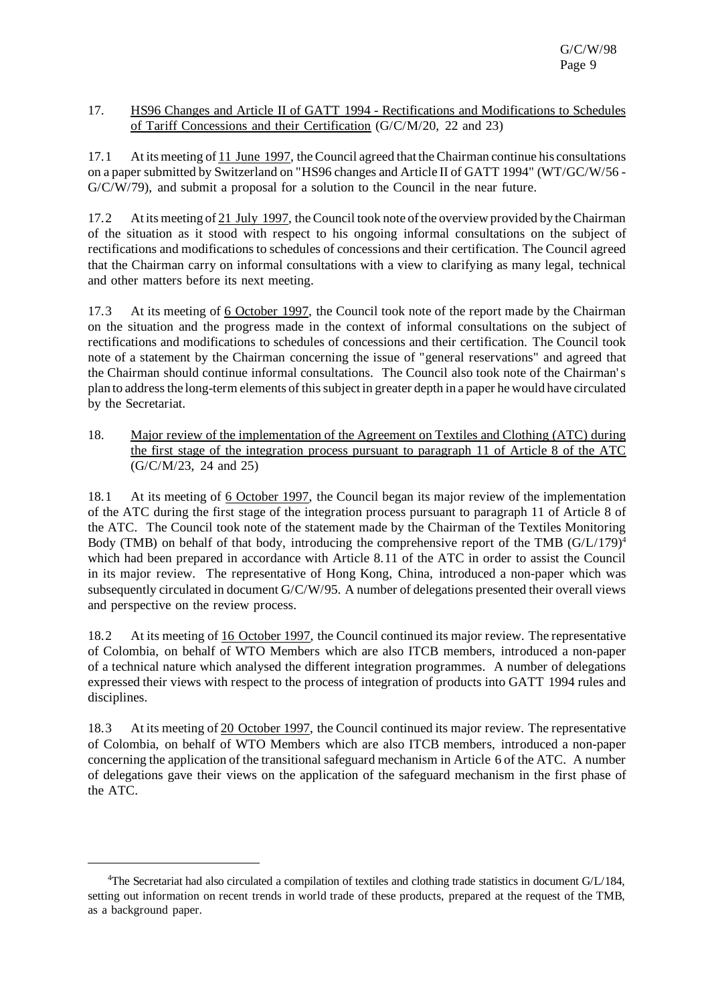#### 17. HS96 Changes and Article II of GATT 1994 - Rectifications and Modifications to Schedules of Tariff Concessions and their Certification (G/C/M/20, 22 and 23)

17.1 At its meeting of 11 June 1997, the Council agreed that the Chairman continue his consultations on a paper submitted by Switzerland on "HS96 changes and Article II of GATT 1994" (WT/GC/W/56 - G/C/W/79), and submit a proposal for a solution to the Council in the near future.

17.2 At its meeting of 21 July 1997, the Council took note of the overview provided by the Chairman of the situation as it stood with respect to his ongoing informal consultations on the subject of rectifications and modifications to schedules of concessions and their certification. The Council agreed that the Chairman carry on informal consultations with a view to clarifying as many legal, technical and other matters before its next meeting.

17.3 At its meeting of 6 October 1997, the Council took note of the report made by the Chairman on the situation and the progress made in the context of informal consultations on the subject of rectifications and modifications to schedules of concessions and their certification. The Council took note of a statement by the Chairman concerning the issue of "general reservations" and agreed that the Chairman should continue informal consultations. The Council also took note of the Chairman's plan to addressthe long-term elements of thissubject in greater depth in a paper he would have circulated by the Secretariat.

18. Major review of the implementation of the Agreement on Textiles and Clothing (ATC) during the first stage of the integration process pursuant to paragraph 11 of Article 8 of the ATC (G/C/M/23, 24 and 25)

18.1 At its meeting of 6 October 1997, the Council began its major review of the implementation of the ATC during the first stage of the integration process pursuant to paragraph 11 of Article 8 of the ATC. The Council took note of the statement made by the Chairman of the Textiles Monitoring Body (TMB) on behalf of that body, introducing the comprehensive report of the TMB  $(G/L/179)^4$ which had been prepared in accordance with Article 8.11 of the ATC in order to assist the Council in its major review. The representative of Hong Kong, China, introduced a non-paper which was subsequently circulated in document G/C/W/95. A number of delegations presented their overall views and perspective on the review process.

18.2 At its meeting of 16 October 1997, the Council continued its major review. The representative of Colombia, on behalf of WTO Members which are also ITCB members, introduced a non-paper of a technical nature which analysed the different integration programmes. A number of delegations expressed their views with respect to the process of integration of products into GATT 1994 rules and disciplines.

18.3 At its meeting of 20 October 1997, the Council continued its major review. The representative of Colombia, on behalf of WTO Members which are also ITCB members, introduced a non-paper concerning the application of the transitional safeguard mechanism in Article 6 of the ATC. A number of delegations gave their views on the application of the safeguard mechanism in the first phase of the ATC.

<sup>4</sup>The Secretariat had also circulated a compilation of textiles and clothing trade statistics in document G/L/184, setting out information on recent trends in world trade of these products, prepared at the request of the TMB, as a background paper.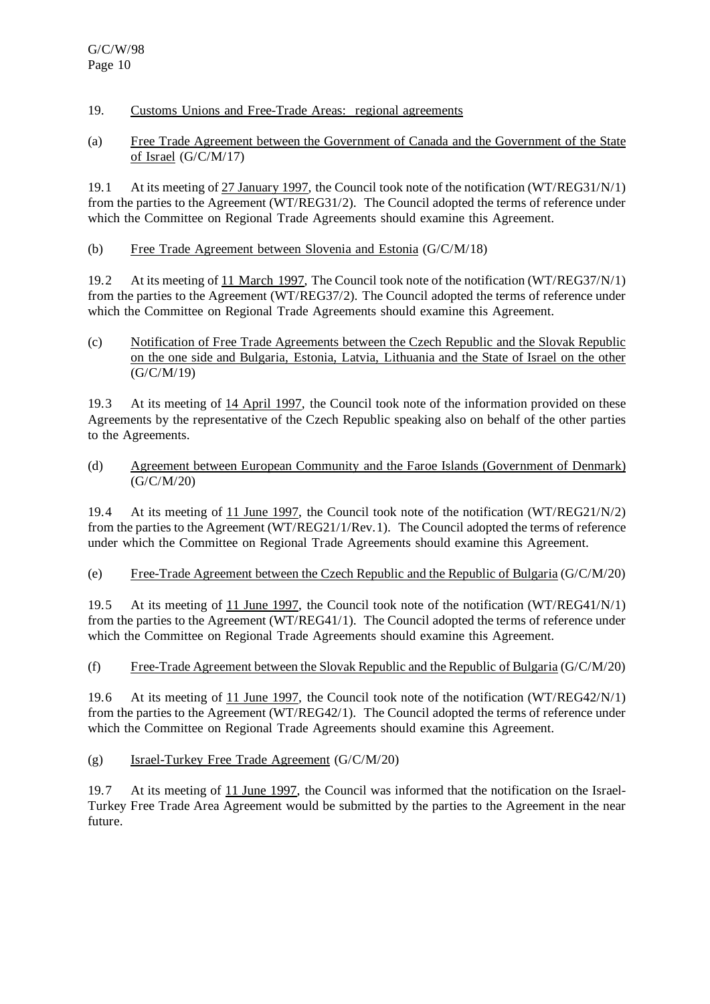- 19. Customs Unions and Free-Trade Areas: regional agreements
- (a) Free Trade Agreement between the Government of Canada and the Government of the State of Israel (G/C/M/17)

19.1 At its meeting of 27 January 1997, the Council took note of the notification (WT/REG31/N/1) from the parties to the Agreement (WT/REG31/2). The Council adopted the terms of reference under which the Committee on Regional Trade Agreements should examine this Agreement.

(b) Free Trade Agreement between Slovenia and Estonia (G/C/M/18)

19.2 At its meeting of 11 March 1997, The Council took note of the notification (WT/REG37/N/1) from the parties to the Agreement (WT/REG37/2). The Council adopted the terms of reference under which the Committee on Regional Trade Agreements should examine this Agreement.

(c) Notification of Free Trade Agreements between the Czech Republic and the Slovak Republic on the one side and Bulgaria, Estonia, Latvia, Lithuania and the State of Israel on the other (G/C/M/19)

19.3 At its meeting of 14 April 1997, the Council took note of the information provided on these Agreements by the representative of the Czech Republic speaking also on behalf of the other parties to the Agreements.

(d) Agreement between European Community and the Faroe Islands (Government of Denmark) (G/C/M/20)

19.4 At its meeting of 11 June 1997, the Council took note of the notification (WT/REG21/N/2) from the parties to the Agreement (WT/REG21/1/Rev.1). The Council adopted the terms of reference under which the Committee on Regional Trade Agreements should examine this Agreement.

(e) Free-Trade Agreement between the Czech Republic and the Republic of Bulgaria (G/C/M/20)

19.5 At its meeting of 11 June 1997, the Council took note of the notification (WT/REG41/N/1) from the parties to the Agreement (WT/REG41/1). The Council adopted the terms of reference under which the Committee on Regional Trade Agreements should examine this Agreement.

(f) Free-Trade Agreement between the Slovak Republic and the Republic of Bulgaria (G/C/M/20)

19.6 At its meeting of 11 June 1997, the Council took note of the notification (WT/REG42/N/1) from the parties to the Agreement (WT/REG42/1). The Council adopted the terms of reference under which the Committee on Regional Trade Agreements should examine this Agreement.

## (g) Israel-Turkey Free Trade Agreement (G/C/M/20)

19.7 At its meeting of 11 June 1997, the Council was informed that the notification on the Israel-Turkey Free Trade Area Agreement would be submitted by the parties to the Agreement in the near future.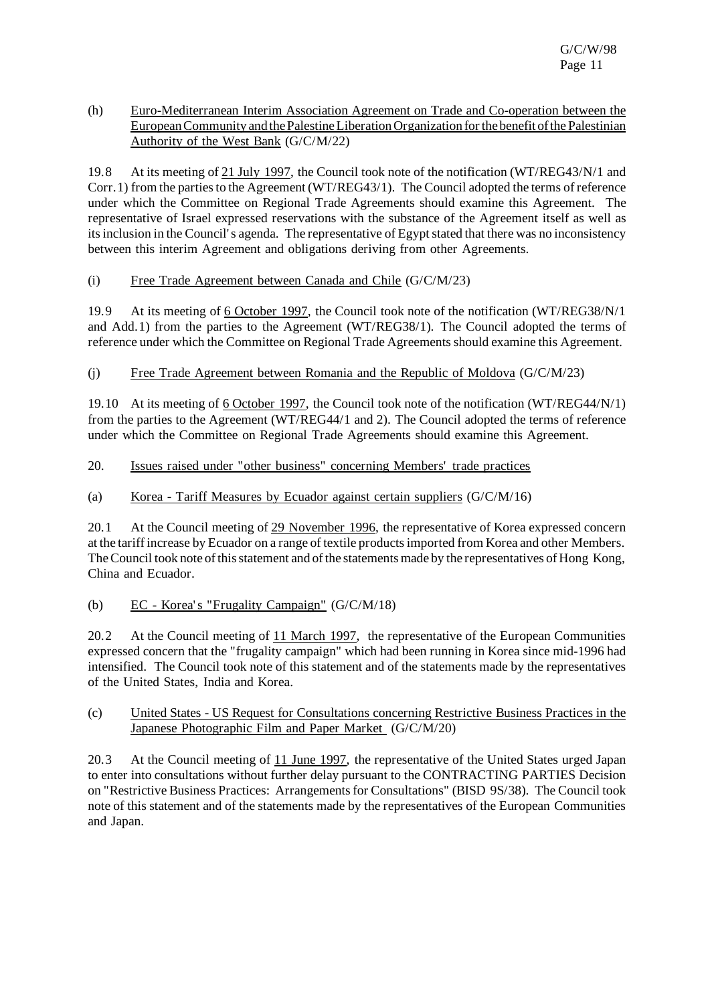(h) Euro-Mediterranean Interim Association Agreement on Trade and Co-operation between the EuropeanCommunity and thePalestineLiberationOrganization forthe benefit ofthe Palestinian Authority of the West Bank (G/C/M/22)

19.8 At its meeting of 21 July 1997, the Council took note of the notification (WT/REG43/N/1 and Corr.1) from the partiesto the Agreement (WT/REG43/1). The Council adopted the terms ofreference under which the Committee on Regional Trade Agreements should examine this Agreement. The representative of Israel expressed reservations with the substance of the Agreement itself as well as itsinclusion in the Council's agenda. The representative of Egyptstated that there was no inconsistency between this interim Agreement and obligations deriving from other Agreements.

#### (i) Free Trade Agreement between Canada and Chile (G/C/M/23)

19.9 At its meeting of 6 October 1997, the Council took note of the notification (WT/REG38/N/1 and Add.1) from the parties to the Agreement (WT/REG38/1). The Council adopted the terms of reference under which the Committee on Regional Trade Agreements should examine this Agreement.

## (j) Free Trade Agreement between Romania and the Republic of Moldova (G/C/M/23)

19.10 At its meeting of 6 October 1997, the Council took note of the notification (WT/REG44/N/1) from the parties to the Agreement (WT/REG44/1 and 2). The Council adopted the terms of reference under which the Committee on Regional Trade Agreements should examine this Agreement.

#### 20. Issues raised under "other business" concerning Members' trade practices

## (a) Korea - Tariff Measures by Ecuador against certain suppliers  $(G/C/M/16)$

20.1 At the Council meeting of 29 November 1996, the representative of Korea expressed concern at the tariff increase by Ecuador on a range of textile productsimported from Korea and other Members. The Council took note of this statement and of the statements made by the representatives of Hong Kong, China and Ecuador.

## (b) EC - Korea's "Frugality Campaign" (G/C/M/18)

20.2 At the Council meeting of 11 March 1997, the representative of the European Communities expressed concern that the "frugality campaign" which had been running in Korea since mid-1996 had intensified. The Council took note of this statement and of the statements made by the representatives of the United States, India and Korea.

#### (c) United States - US Request for Consultations concerning Restrictive Business Practices in the Japanese Photographic Film and Paper Market (G/C/M/20)

20.3 At the Council meeting of 11 June 1997, the representative of the United States urged Japan to enter into consultations without further delay pursuant to the CONTRACTING PARTIES Decision on "Restrictive Business Practices: Arrangementsfor Consultations" (BISD 9S/38). The Council took note of this statement and of the statements made by the representatives of the European Communities and Japan.